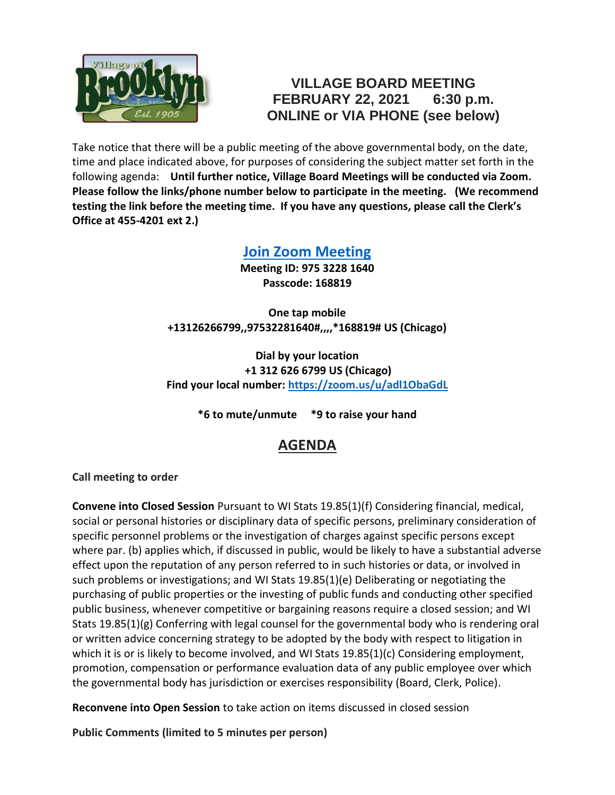

## **VILLAGE BOARD MEETING FEBRUARY 22, 2021 6:30 p.m. ONLINE or VIA PHONE (see below)**

Take notice that there will be a public meeting of the above governmental body, on the date, time and place indicated above, for purposes of considering the subject matter set forth in the following agenda: **Until further notice, Village Board Meetings will be conducted via Zoom. Please follow the links/phone number below to participate in the meeting. (We recommend testing the link before the meeting time. If you have any questions, please call the Clerk's Office at 455-4201 ext 2.)**

## **[Join Zoom Meeting](https://zoom.us/j/97532281640?pwd=UHBTMlNYSjJDb2hQRmZGcWltNkhmdz09)**

**Meeting ID: 975 3228 1640 Passcode: 168819**

**One tap mobile +13126266799,,97532281640#,,,,\*168819# US (Chicago)**

**Dial by your location +1 312 626 6799 US (Chicago) Find your local number:<https://zoom.us/u/adl1ObaGdL>**

**\*6 to mute/unmute \*9 to raise your hand**

## **AGENDA**

**Call meeting to order**

**Convene into Closed Session** Pursuant to WI Stats 19.85(1)(f) Considering financial, medical, social or personal histories or disciplinary data of specific persons, preliminary consideration of specific personnel problems or the investigation of charges against specific persons except where par. (b) applies which, if discussed in public, would be likely to have a substantial adverse effect upon the reputation of any person referred to in such histories or data, or involved in such problems or investigations; and WI Stats 19.85(1)(e) Deliberating or negotiating the purchasing of public properties or the investing of public funds and conducting other specified public business, whenever competitive or bargaining reasons require a closed session; and WI Stats 19.85(1)(g) Conferring with legal counsel for the governmental body who is rendering oral or written advice concerning strategy to be adopted by the body with respect to litigation in which it is or is likely to become involved, and WI Stats 19.85(1)(c) Considering employment, promotion, compensation or performance evaluation data of any public employee over which the governmental body has jurisdiction or exercises responsibility (Board, Clerk, Police).

**Reconvene into Open Session** to take action on items discussed in closed session

**Public Comments (limited to 5 minutes per person)**